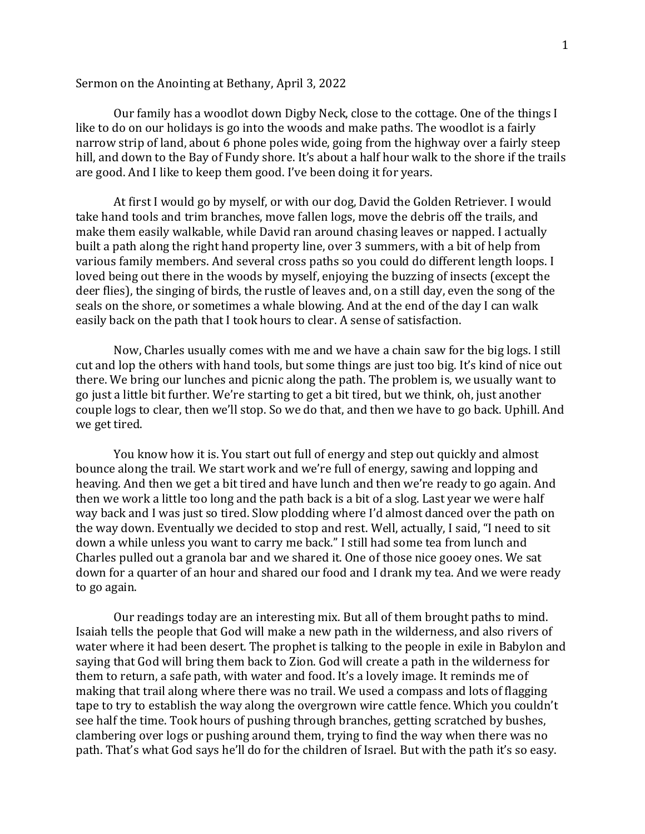## Sermon on the Anointing at Bethany, April 3, 2022

Our family has a woodlot down Digby Neck, close to the cottage. One of the things I like to do on our holidays is go into the woods and make paths. The woodlot is a fairly narrow strip of land, about 6 phone poles wide, going from the highway over a fairly steep hill, and down to the Bay of Fundy shore. It's about a half hour walk to the shore if the trails are good. And I like to keep them good. I've been doing it for years.

At first I would go by myself, or with our dog, David the Golden Retriever. I would take hand tools and trim branches, move fallen logs, move the debris off the trails, and make them easily walkable, while David ran around chasing leaves or napped. I actually built a path along the right hand property line, over 3 summers, with a bit of help from various family members. And several cross paths so you could do different length loops. I loved being out there in the woods by myself, enjoying the buzzing of insects (except the deer flies), the singing of birds, the rustle of leaves and, on a still day, even the song of the seals on the shore, or sometimes a whale blowing. And at the end of the day I can walk easily back on the path that I took hours to clear. A sense of satisfaction.

Now, Charles usually comes with me and we have a chain saw for the big logs. I still cut and lop the others with hand tools, but some things are just too big. It's kind of nice out there. We bring our lunches and picnic along the path. The problem is, we usually want to go just a little bit further. We're starting to get a bit tired, but we think, oh, just another couple logs to clear, then we'll stop. So we do that, and then we have to go back. Uphill. And we get tired.

You know how it is. You start out full of energy and step out quickly and almost bounce along the trail. We start work and we're full of energy, sawing and lopping and heaving. And then we get a bit tired and have lunch and then we're ready to go again. And then we work a little too long and the path back is a bit of a slog. Last year we were half way back and I was just so tired. Slow plodding where I'd almost danced over the path on the way down. Eventually we decided to stop and rest. Well, actually, I said, "I need to sit down a while unless you want to carry me back." I still had some tea from lunch and Charles pulled out a granola bar and we shared it. One of those nice gooey ones. We sat down for a quarter of an hour and shared our food and I drank my tea. And we were ready to go again.

Our readings today are an interesting mix. But all of them brought paths to mind. Isaiah tells the people that God will make a new path in the wilderness, and also rivers of water where it had been desert. The prophet is talking to the people in exile in Babylon and saying that God will bring them back to Zion. God will create a path in the wilderness for them to return, a safe path, with water and food. It's a lovely image. It reminds me of making that trail along where there was no trail. We used a compass and lots of flagging tape to try to establish the way along the overgrown wire cattle fence. Which you couldn't see half the time. Took hours of pushing through branches, getting scratched by bushes, clambering over logs or pushing around them, trying to find the way when there was no path. That's what God says he'll do for the children of Israel. But with the path it's so easy.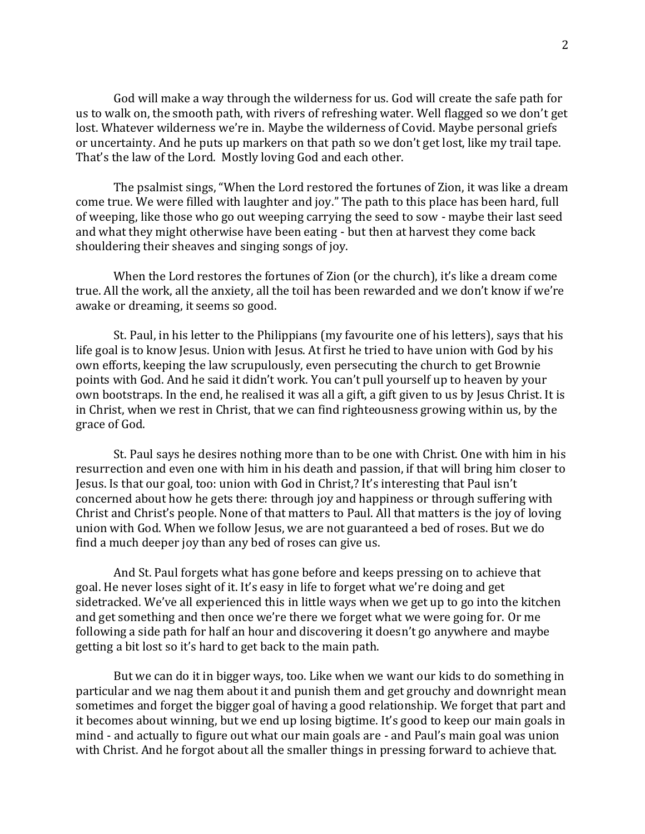God will make a way through the wilderness for us. God will create the safe path for us to walk on, the smooth path, with rivers of refreshing water. Well flagged so we don't get lost. Whatever wilderness we're in. Maybe the wilderness of Covid. Maybe personal griefs or uncertainty. And he puts up markers on that path so we don't get lost, like my trail tape. That's the law of the Lord. Mostly loving God and each other.

The psalmist sings, "When the Lord restored the fortunes of Zion, it was like a dream come true. We were filled with laughter and joy." The path to this place has been hard, full of weeping, like those who go out weeping carrying the seed to sow - maybe their last seed and what they might otherwise have been eating - but then at harvest they come back shouldering their sheaves and singing songs of joy.

When the Lord restores the fortunes of Zion (or the church), it's like a dream come true. All the work, all the anxiety, all the toil has been rewarded and we don't know if we're awake or dreaming, it seems so good.

St. Paul, in his letter to the Philippians (my favourite one of his letters), says that his life goal is to know Jesus. Union with Jesus. At first he tried to have union with God by his own efforts, keeping the law scrupulously, even persecuting the church to get Brownie points with God. And he said it didn't work. You can't pull yourself up to heaven by your own bootstraps. In the end, he realised it was all a gift, a gift given to us by Jesus Christ. It is in Christ, when we rest in Christ, that we can find righteousness growing within us, by the grace of God.

St. Paul says he desires nothing more than to be one with Christ. One with him in his resurrection and even one with him in his death and passion, if that will bring him closer to Jesus. Is that our goal, too: union with God in Christ,? It's interesting that Paul isn't concerned about how he gets there: through joy and happiness or through suffering with Christ and Christ's people. None of that matters to Paul. All that matters is the joy of loving union with God. When we follow Jesus, we are not guaranteed a bed of roses. But we do find a much deeper joy than any bed of roses can give us.

And St. Paul forgets what has gone before and keeps pressing on to achieve that goal. He never loses sight of it. It's easy in life to forget what we're doing and get sidetracked. We've all experienced this in little ways when we get up to go into the kitchen and get something and then once we're there we forget what we were going for. Or me following a side path for half an hour and discovering it doesn't go anywhere and maybe getting a bit lost so it's hard to get back to the main path.

But we can do it in bigger ways, too. Like when we want our kids to do something in particular and we nag them about it and punish them and get grouchy and downright mean sometimes and forget the bigger goal of having a good relationship. We forget that part and it becomes about winning, but we end up losing bigtime. It's good to keep our main goals in mind - and actually to figure out what our main goals are - and Paul's main goal was union with Christ. And he forgot about all the smaller things in pressing forward to achieve that.